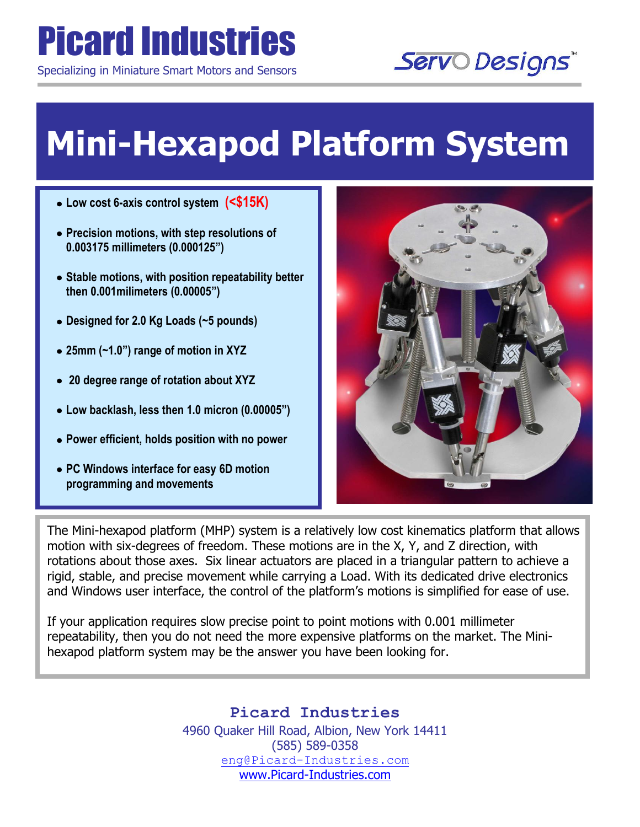## Picard Industries

Specializing in Miniature Smart Motors and Sensors

## Servo Designs

## **Mini-Hexapod Platform System**

- **Low cost 6-axis control system (<\$15K)**
- **Precision motions, with step resolutions of 0.003175 millimeters (0.000125")**

L

- **Stable motions, with position repeatability better then 0.001milimeters (0.00005")**
- **Designed for 2.0 Kg Loads (~5 pounds)**
- **25mm (~1.0") range of motion in XYZ**
- **20 degree range of rotation about XYZ**
- **Low backlash, less then 1.0 micron (0.00005")**
- **Power efficient, holds position with no power**
- **PC Windows interface for easy 6D motion programming and movements**



The Mini-hexapod platform (MHP) system is a relatively low cost kinematics platform that allows motion with six-degrees of freedom. These motions are in the X, Y, and Z direction, with rotations about those axes. Six linear actuators are placed in a triangular pattern to achieve a rigid, stable, and precise movement while carrying a Load. With its dedicated drive electronics and Windows user interface, the control of the platform's motions is simplified for ease of use.

If your application requires slow precise point to point motions with 0.001 millimeter repeatability, then you do not need the more expensive platforms on the market. The Minihexapod platform system may be the answer you have been looking for.

> **Picard Industries**  4960 Quaker Hill Road, Albion, New York 14411 (585) 589-0358 [eng@Picard-Industries.com](mailto:eng@Picard-Industries.com) [www.Picard-Industries.com](http://www.picard-industries.com/)